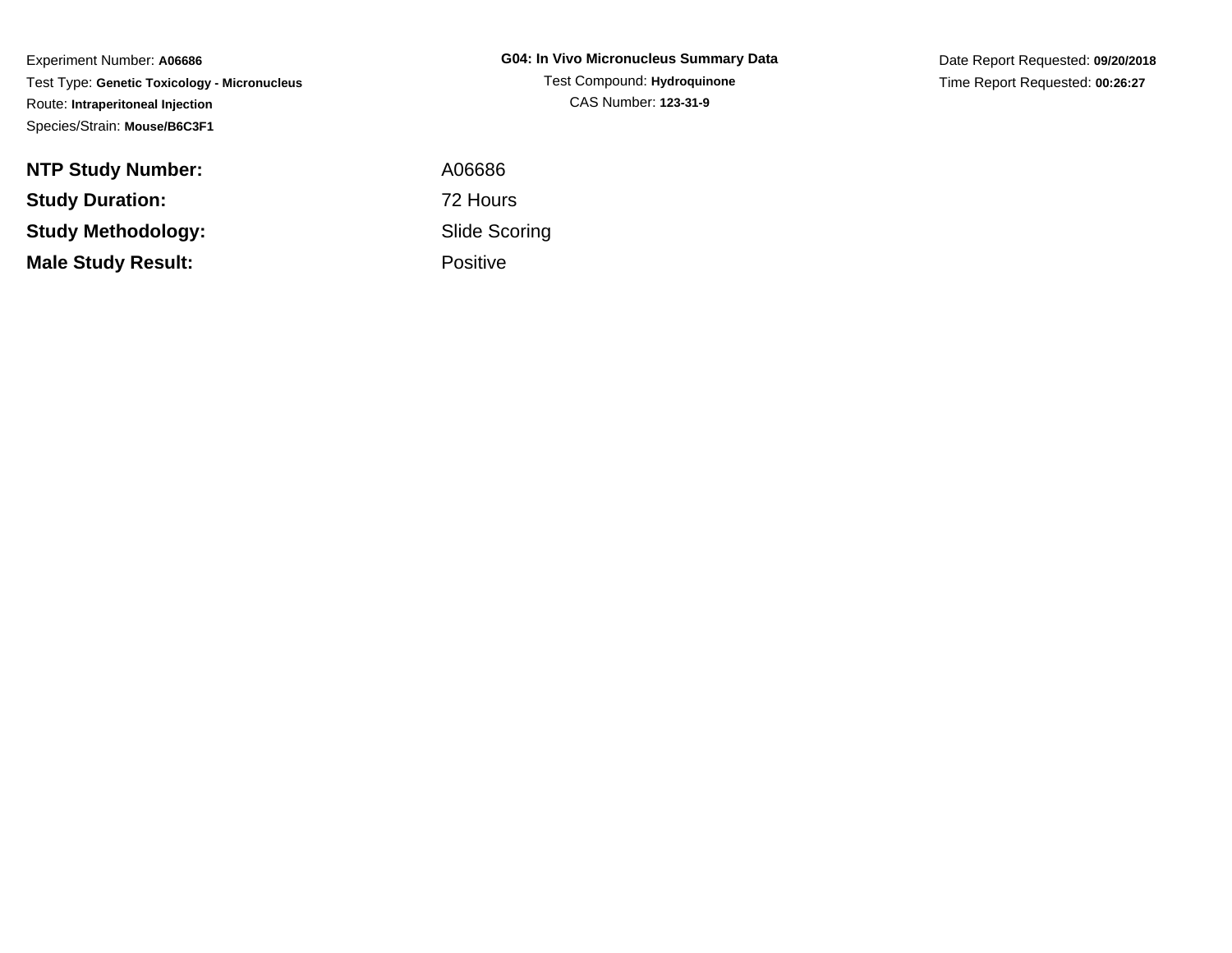Experiment Number: **A06686** Test Type: **Genetic Toxicology - Micronucleus**Route: **Intraperitoneal Injection**Species/Strain: **Mouse/B6C3F1**

**NTP Study Number:Study Duration:Study Methodology:Male Study Result:**

**G04: In Vivo Micronucleus Summary Data**Test Compound: **Hydroquinone**CAS Number: **123-31-9**

Date Report Requested: **09/20/2018**Time Report Requested: **00:26:27**

 A06686 72 Hours Slide ScoringPositive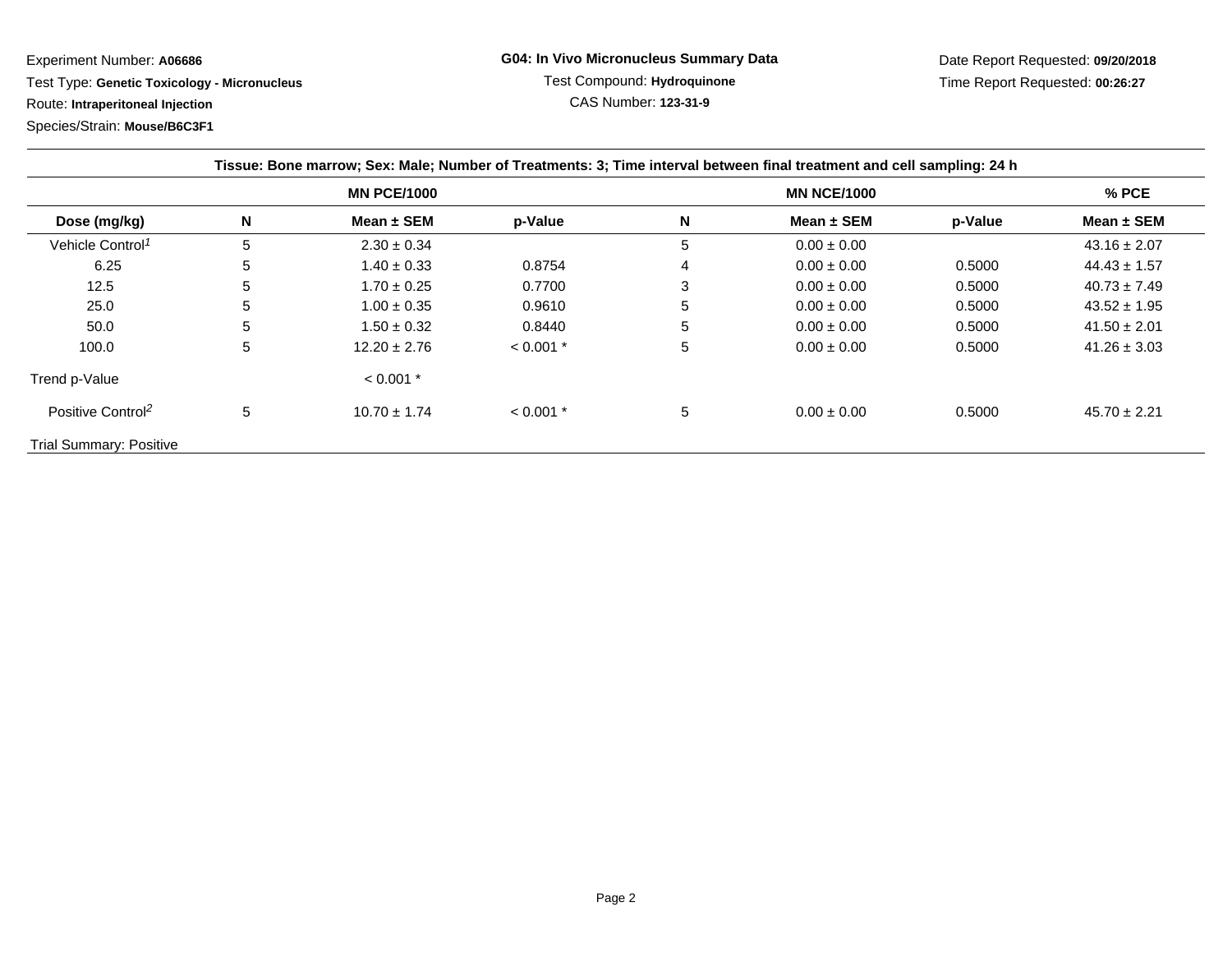Experiment Number: **A06686**

 Test Type: **Genetic Toxicology - Micronucleus**Route: **Intraperitoneal Injection**

Species/Strain: **Mouse/B6C3F1**

| Tissue: Bone marrow; Sex: Male; Number of Treatments: 3; Time interval between final treatment and cell sampling: 24 h |                    |                  |             |                    |                 |         |                  |  |  |  |
|------------------------------------------------------------------------------------------------------------------------|--------------------|------------------|-------------|--------------------|-----------------|---------|------------------|--|--|--|
|                                                                                                                        | <b>MN PCE/1000</b> |                  |             | <b>MN NCE/1000</b> |                 |         | $%$ PCE          |  |  |  |
| Dose (mg/kg)                                                                                                           | N                  | Mean $\pm$ SEM   | p-Value     | N                  | Mean $\pm$ SEM  | p-Value | Mean ± SEM       |  |  |  |
| Vehicle Control <sup>1</sup>                                                                                           | 5                  | $2.30 \pm 0.34$  |             | 5                  | $0.00 \pm 0.00$ |         | $43.16 \pm 2.07$ |  |  |  |
| 6.25                                                                                                                   | 5                  | $1.40 \pm 0.33$  | 0.8754      | 4                  | $0.00 \pm 0.00$ | 0.5000  | $44.43 \pm 1.57$ |  |  |  |
| 12.5                                                                                                                   | 5                  | $1.70 \pm 0.25$  | 0.7700      | 3                  | $0.00 \pm 0.00$ | 0.5000  | $40.73 \pm 7.49$ |  |  |  |
| 25.0                                                                                                                   | 5                  | $1.00 \pm 0.35$  | 0.9610      | 5                  | $0.00 \pm 0.00$ | 0.5000  | $43.52 \pm 1.95$ |  |  |  |
| 50.0                                                                                                                   | 5                  | $1.50 \pm 0.32$  | 0.8440      | 5                  | $0.00 \pm 0.00$ | 0.5000  | $41.50 \pm 2.01$ |  |  |  |
| 100.0                                                                                                                  | 5                  | $12.20 \pm 2.76$ | $< 0.001$ * | 5                  | $0.00 \pm 0.00$ | 0.5000  | $41.26 \pm 3.03$ |  |  |  |
| Trend p-Value                                                                                                          |                    | $< 0.001$ *      |             |                    |                 |         |                  |  |  |  |
| Positive Control <sup>2</sup>                                                                                          | 5                  | $10.70 \pm 1.74$ | $< 0.001$ * | 5                  | $0.00 \pm 0.00$ | 0.5000  | $45.70 \pm 2.21$ |  |  |  |
| <b>Trial Summary: Positive</b>                                                                                         |                    |                  |             |                    |                 |         |                  |  |  |  |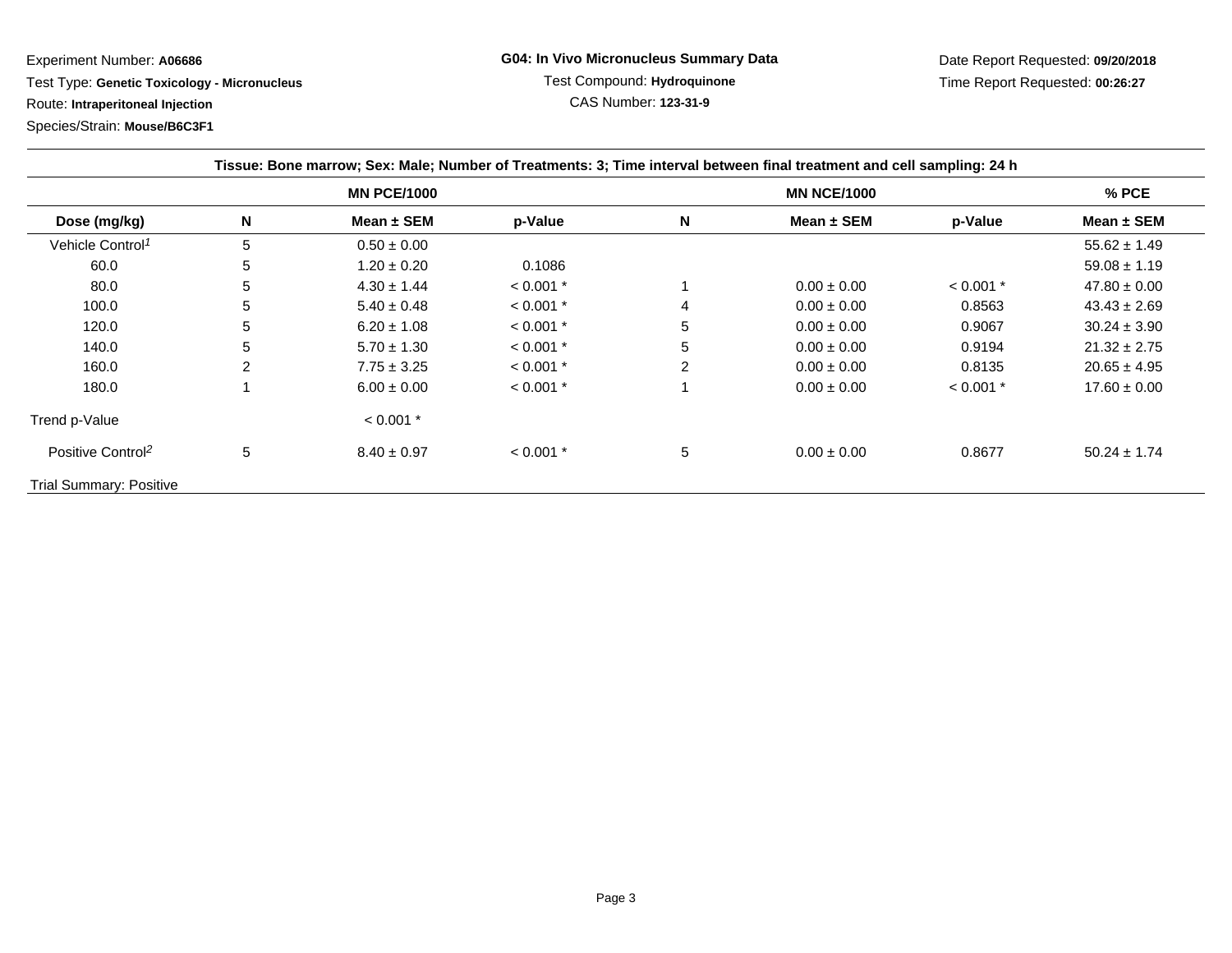Experiment Number: **A06686**

Test Type: **Genetic Toxicology - Micronucleus**

Route: **Intraperitoneal Injection**

Species/Strain: **Mouse/B6C3F1**

| Tissue: Bone marrow; Sex: Male; Number of Treatments: 3; Time interval between final treatment and cell sampling: 24 h |                    |                 |             |                    |                 |             |                  |  |  |  |
|------------------------------------------------------------------------------------------------------------------------|--------------------|-----------------|-------------|--------------------|-----------------|-------------|------------------|--|--|--|
|                                                                                                                        | <b>MN PCE/1000</b> |                 |             | <b>MN NCE/1000</b> |                 |             | % PCE            |  |  |  |
| Dose (mg/kg)                                                                                                           | N                  | Mean $\pm$ SEM  | p-Value     | N                  | Mean $\pm$ SEM  | p-Value     | Mean $\pm$ SEM   |  |  |  |
| Vehicle Control <sup>1</sup>                                                                                           | 5                  | $0.50 \pm 0.00$ |             |                    |                 |             | $55.62 \pm 1.49$ |  |  |  |
| 60.0                                                                                                                   | 5                  | $1.20 \pm 0.20$ | 0.1086      |                    |                 |             | $59.08 \pm 1.19$ |  |  |  |
| 80.0                                                                                                                   | 5                  | $4.30 \pm 1.44$ | $< 0.001$ * |                    | $0.00 \pm 0.00$ | $< 0.001$ * | $47.80 \pm 0.00$ |  |  |  |
| 100.0                                                                                                                  | 5                  | $5.40 \pm 0.48$ | $< 0.001$ * | 4                  | $0.00 \pm 0.00$ | 0.8563      | $43.43 \pm 2.69$ |  |  |  |
| 120.0                                                                                                                  | 5                  | $6.20 \pm 1.08$ | $< 0.001$ * | 5                  | $0.00 \pm 0.00$ | 0.9067      | $30.24 \pm 3.90$ |  |  |  |
| 140.0                                                                                                                  | 5                  | $5.70 \pm 1.30$ | $< 0.001$ * | 5                  | $0.00 \pm 0.00$ | 0.9194      | $21.32 \pm 2.75$ |  |  |  |
| 160.0                                                                                                                  | 2                  | $7.75 \pm 3.25$ | $< 0.001$ * | 2                  | $0.00 \pm 0.00$ | 0.8135      | $20.65 \pm 4.95$ |  |  |  |
| 180.0                                                                                                                  |                    | $6.00 \pm 0.00$ | $< 0.001$ * |                    | $0.00 \pm 0.00$ | $< 0.001$ * | $17.60 \pm 0.00$ |  |  |  |
| Trend p-Value                                                                                                          |                    | $< 0.001$ *     |             |                    |                 |             |                  |  |  |  |
| Positive Control <sup>2</sup>                                                                                          | 5                  | $8.40 \pm 0.97$ | $< 0.001$ * | 5                  | $0.00 \pm 0.00$ | 0.8677      | $50.24 \pm 1.74$ |  |  |  |
| <b>Trial Summary: Positive</b>                                                                                         |                    |                 |             |                    |                 |             |                  |  |  |  |